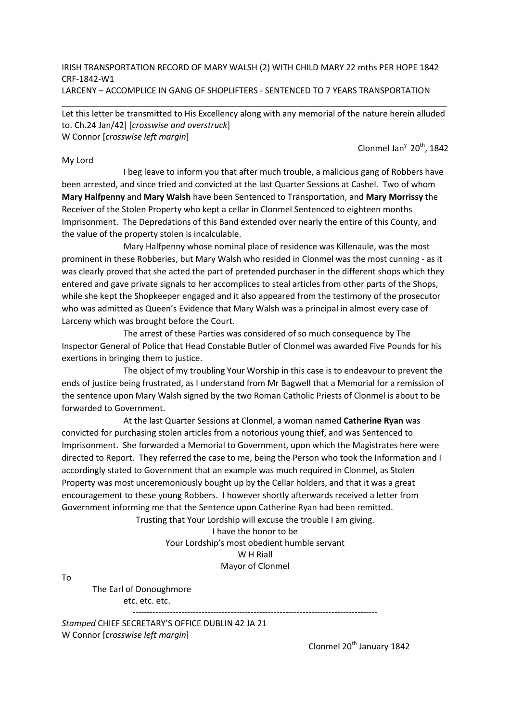IRISH TRANSPORTATION RECORD OF MARY WALSH (2) WITH CHILD MARY 22 mths PER HOPE 1842 CRF-1842-W1 LARCENY – ACCOMPLICE IN GANG OF SHOPLIFTERS - SENTENCED TO 7 YEARS TRANSPORTATION

Let this letter be transmitted to His Excellency along with any memorial of the nature herein alluded to. Ch.24 Jan/42] [crosswise and overstruck] W Connor [crosswise left margin]

\_\_\_\_\_\_\_\_\_\_\_\_\_\_\_\_\_\_\_\_\_\_\_\_\_\_\_\_\_\_\_\_\_\_\_\_\_\_\_\_\_\_\_\_\_\_\_\_\_\_\_\_\_\_\_\_\_\_\_\_\_\_\_\_\_\_\_\_\_\_\_\_\_\_\_\_\_\_\_\_\_\_

## My Lord

Clonmel Jan<sup>y</sup> 20<sup>th</sup>, 1842

 I beg leave to inform you that after much trouble, a malicious gang of Robbers have been arrested, and since tried and convicted at the last Quarter Sessions at Cashel. Two of whom Mary Halfpenny and Mary Walsh have been Sentenced to Transportation, and Mary Morrissy the Receiver of the Stolen Property who kept a cellar in Clonmel Sentenced to eighteen months Imprisonment. The Depredations of this Band extended over nearly the entire of this County, and the value of the property stolen is incalculable.

 Mary Halfpenny whose nominal place of residence was Killenaule, was the most prominent in these Robberies, but Mary Walsh who resided in Clonmel was the most cunning - as it was clearly proved that she acted the part of pretended purchaser in the different shops which they entered and gave private signals to her accomplices to steal articles from other parts of the Shops, while she kept the Shopkeeper engaged and it also appeared from the testimony of the prosecutor who was admitted as Queen's Evidence that Mary Walsh was a principal in almost every case of Larceny which was brought before the Court.

 The arrest of these Parties was considered of so much consequence by The Inspector General of Police that Head Constable Butler of Clonmel was awarded Five Pounds for his exertions in bringing them to justice.

 The object of my troubling Your Worship in this case is to endeavour to prevent the ends of justice being frustrated, as I understand from Mr Bagwell that a Memorial for a remission of the sentence upon Mary Walsh signed by the two Roman Catholic Priests of Clonmel is about to be forwarded to Government.

 At the last Quarter Sessions at Clonmel, a woman named Catherine Ryan was convicted for purchasing stolen articles from a notorious young thief, and was Sentenced to Imprisonment. She forwarded a Memorial to Government, upon which the Magistrates here were directed to Report. They referred the case to me, being the Person who took the Information and I accordingly stated to Government that an example was much required in Clonmel, as Stolen Property was most unceremoniously bought up by the Cellar holders, and that it was a great encouragement to these young Robbers. I however shortly afterwards received a letter from Government informing me that the Sentence upon Catherine Ryan had been remitted.

Trusting that Your Lordship will excuse the trouble I am giving. I have the honor to be Your Lordship's most obedient humble servant W H Riall

Mayor of Clonmel

To

The Earl of Donoughmore etc. etc. etc. -------------------------------------------------------------------------------------

Stamped CHIEF SECRETARY'S OFFICE DUBLIN 42 JA 21 W Connor [crosswise left margin]

Clonmel 20<sup>th</sup> January 1842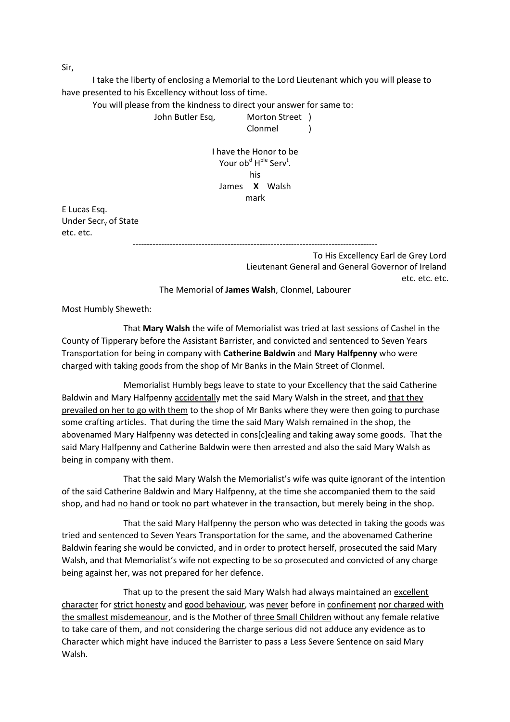I take the liberty of enclosing a Memorial to the Lord Lieutenant which you will please to have presented to his Excellency without loss of time.

You will please from the kindness to direct your answer for same to:

John Butler Esq, Morton Street )

Clonmel )

I have the Honor to be Your ob<sup>d</sup> H<sup>ble</sup> Serv<sup>t</sup>. his James X Walsh mark

E Lucas Esq. Under Secry of State etc. etc.

> ------------------------------------------------------------------------------------- To His Excellency Earl de Grey Lord Lieutenant General and General Governor of Ireland etc. etc. etc.

The Memorial of James Walsh, Clonmel, Labourer

Most Humbly Sheweth:

 That Mary Walsh the wife of Memorialist was tried at last sessions of Cashel in the County of Tipperary before the Assistant Barrister, and convicted and sentenced to Seven Years Transportation for being in company with Catherine Baldwin and Mary Halfpenny who were charged with taking goods from the shop of Mr Banks in the Main Street of Clonmel.

 Memorialist Humbly begs leave to state to your Excellency that the said Catherine Baldwin and Mary Halfpenny accidentally met the said Mary Walsh in the street, and that they prevailed on her to go with them to the shop of Mr Banks where they were then going to purchase some crafting articles. That during the time the said Mary Walsh remained in the shop, the abovenamed Mary Halfpenny was detected in cons[c]ealing and taking away some goods. That the said Mary Halfpenny and Catherine Baldwin were then arrested and also the said Mary Walsh as being in company with them.

 That the said Mary Walsh the Memorialist's wife was quite ignorant of the intention of the said Catherine Baldwin and Mary Halfpenny, at the time she accompanied them to the said shop, and had no hand or took no part whatever in the transaction, but merely being in the shop.

 That the said Mary Halfpenny the person who was detected in taking the goods was tried and sentenced to Seven Years Transportation for the same, and the abovenamed Catherine Baldwin fearing she would be convicted, and in order to protect herself, prosecuted the said Mary Walsh, and that Memorialist's wife not expecting to be so prosecuted and convicted of any charge being against her, was not prepared for her defence.

That up to the present the said Mary Walsh had always maintained an excellent character for strict honesty and good behaviour, was never before in confinement nor charged with the smallest misdemeanour, and is the Mother of three Small Children without any female relative to take care of them, and not considering the charge serious did not adduce any evidence as to Character which might have induced the Barrister to pass a Less Severe Sentence on said Mary Walsh.

Sir,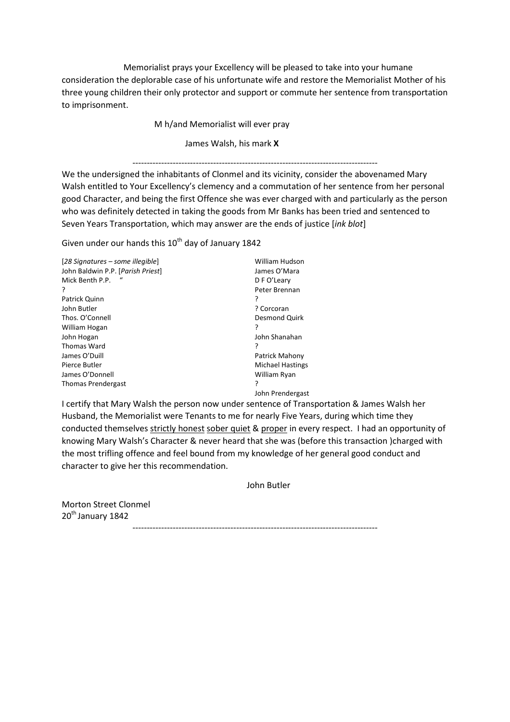Memorialist prays your Excellency will be pleased to take into your humane consideration the deplorable case of his unfortunate wife and restore the Memorialist Mother of his three young children their only protector and support or commute her sentence from transportation to imprisonment.

M h/and Memorialist will ever pray

James Walsh, his mark X

## -------------------------------------------------------------------------------------

We the undersigned the inhabitants of Clonmel and its vicinity, consider the abovenamed Mary Walsh entitled to Your Excellency's clemency and a commutation of her sentence from her personal good Character, and being the first Offence she was ever charged with and particularly as the person who was definitely detected in taking the goods from Mr Banks has been tried and sentenced to Seven Years Transportation, which may answer are the ends of justice [ink blot]

Given under our hands this  $10^{th}$  day of January 1842

| [28 Signatures – some illegible]  | William Hudson          |
|-----------------------------------|-------------------------|
| John Baldwin P.P. [Parish Priest] | James O'Mara            |
| Mick Benth P.P.                   | D F O'Leary             |
| ?                                 | Peter Brennan           |
| Patrick Quinn                     | ?                       |
| John Butler                       | ? Corcoran              |
| Thos. O'Connell                   | Desmond Quirk           |
| William Hogan                     | ?                       |
| John Hogan                        | John Shanahan           |
| Thomas Ward                       | ?                       |
| James O'Duill                     | Patrick Mahony          |
| Pierce Butler                     | <b>Michael Hastings</b> |
| James O'Donnell                   | William Ryan            |
| <b>Thomas Prendergast</b>         | ς                       |
|                                   | John Prendergast        |

I certify that Mary Walsh the person now under sentence of Transportation & James Walsh her Husband, the Memorialist were Tenants to me for nearly Five Years, during which time they conducted themselves strictly honest sober quiet & proper in every respect. I had an opportunity of knowing Mary Walsh's Character & never heard that she was (before this transaction )charged with the most trifling offence and feel bound from my knowledge of her general good conduct and character to give her this recommendation.

John Butler

Morton Street Clonmel 20<sup>th</sup> January 1842

-------------------------------------------------------------------------------------